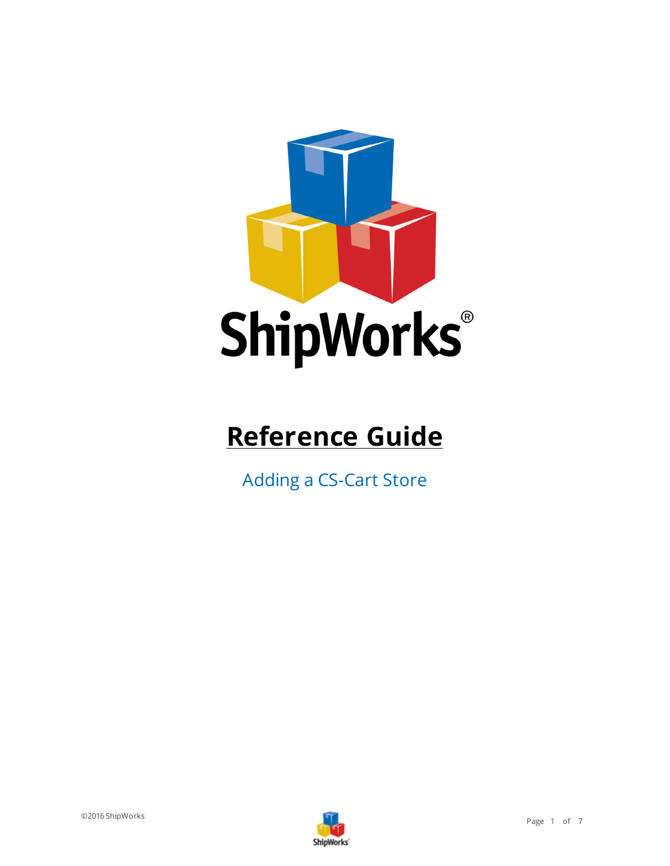

# **Reference Guide**

Adding a CS-Cart Store

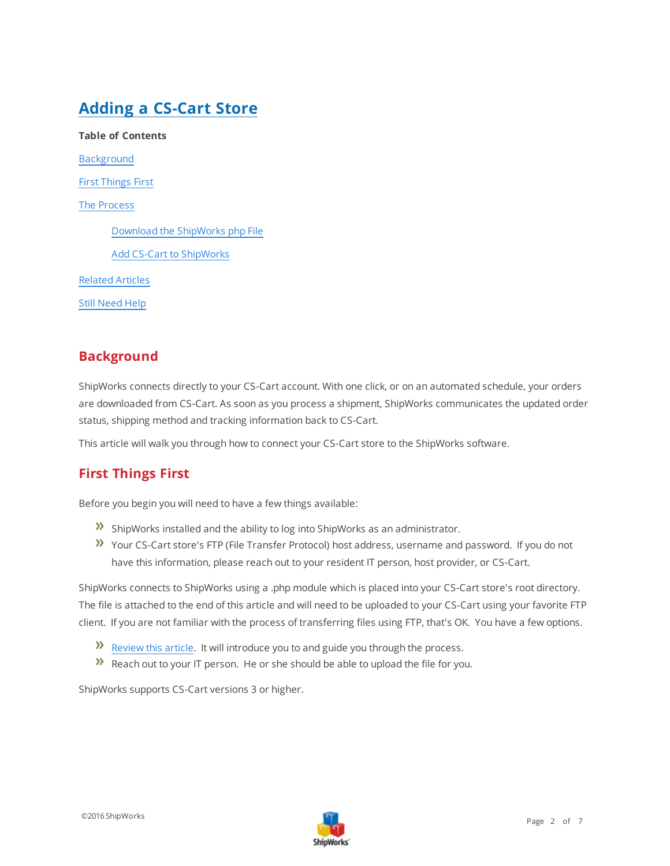# **Adding a CS-Cart Store**

**Table of Contents** [Background](#page-1-0) First [Things](#page-1-1) First The [Process](#page-2-0) Download the [ShipWorks](#page-2-1) php File Add CS-Cart to [ShipWorks](#page-2-2) [Related](#page-5-0) Articles Still [Need](#page-5-1) Help

## <span id="page-1-0"></span>**Background**

ShipWorks connects directly to your CS-Cart account. With one click, or on an automated schedule, your orders are downloaded from CS-Cart. As soon as you process a shipment, ShipWorks communicates the updated order status, shipping method and tracking information back to CS-Cart.

<span id="page-1-1"></span>This article will walk you through how to connect your CS-Cart store to the ShipWorks software.

# **First Things First**

Before you begin you will need to have a few things available:

- $\lambda$  ShipWorks installed and the ability to log into ShipWorks as an administrator.
- Your CS-Cart store's FTP (File Transfer Protocol) host address, username and password. If you do not have this information, please reach out to your resident IT person, host provider, or CS-Cart.

ShipWorks connects to ShipWorks using a .php module which is placed into your CS-Cart store's root directory. The file is attached to the end of this article and will need to be uploaded to your CS-Cart using your favorite FTP client. If you are not familiar with the process of transferring files using FTP, that's OK. You have a few options.

- $\mathcal{V}$  [Review](http://support.shipworks.com/support/solutions/articles/4000043259) this article. It will introduce you to and guide you through the process.
- $\lambda$  Reach out to your IT person. He or she should be able to upload the file for you.

ShipWorks supports CS-Cart versions 3 or higher.

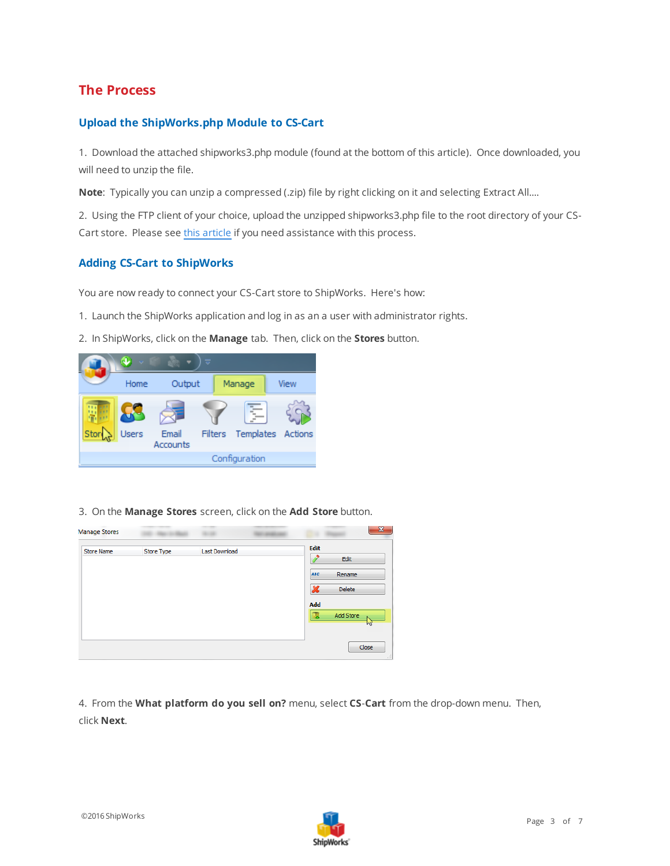## <span id="page-2-1"></span><span id="page-2-0"></span>**The Process**

#### **Upload the ShipWorks.php Module to CS-Cart**

1. Download the attached shipworks3.php module (found at the bottom of this article). Once downloaded, you will need to unzip the file.

**Note**: Typically you can unzip a compressed (.zip) file by right clicking on it and selecting Extract All....

2. Using the FTP client of your choice, upload the unzipped shipworks3.php file to the root directory of your CS-Cart store. Please see this [article](http://support.shipworks.com/support/solutions/articles/4000043259) if you need assistance with this process.

#### <span id="page-2-2"></span>**Adding CS-Cart to ShipWorks**

You are now ready to connect your CS-Cart store to ShipWorks. Here's how:

- 1. Launch the ShipWorks application and log in as an a user with administrator rights.
- 2. In ShipWorks, click on the **Manage** tab. Then, click on the **Stores** button.

|      |                |                   | $\overline{\phantom{a}}$ |  |                           |  |
|------|----------------|-------------------|--------------------------|--|---------------------------|--|
|      | Output<br>Home |                   | Manage                   |  | View                      |  |
| Stor | Users          | Email<br>Accounts |                          |  | Filters Templates Actions |  |
|      | Configuration  |                   |                          |  |                           |  |

3. On the **Manage Stores** screen, click on the **Add Store** button.

| <b>Manage Stores</b> |            |               | $\mathbf{x}$                                               |
|----------------------|------------|---------------|------------------------------------------------------------|
| <b>Store Name</b>    | Store Type | Last Download | Edit<br>Edit<br><b>ABC</b><br>Rename<br>x<br><b>Delete</b> |
|                      |            |               | Add<br>Add Store<br>H.<br>M                                |
|                      |            |               | Close<br>иî                                                |

4. From the **What platform do you sell on?** menu, select **CS**-**Cart** from the drop-down menu. Then, click **Next**.

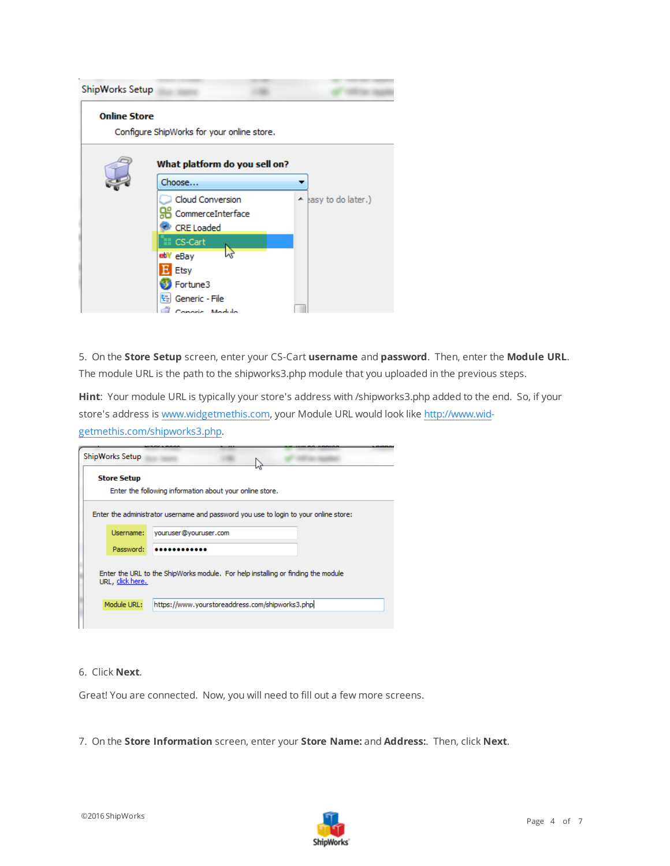| ShipWorks Setup     |                                                            |                      |
|---------------------|------------------------------------------------------------|----------------------|
| <b>Online Store</b> | Configure ShipWorks for your online store.                 |                      |
|                     | What platform do you sell on?<br>Choose                    |                      |
|                     | Cloud Conversion<br>CommerceInterface<br><b>CRE</b> Loaded | A hasy to do later.) |
|                     | CS-Cart<br>PS.<br>ebV eBay<br>Etsy                         |                      |
|                     | Fortune3<br>Generic - File<br>드<br>operic. Module          |                      |

5. On the **Store Setup** screen, enter your CS-Cart **username** and **password**. Then, enter the **Module URL**. The module URL is the path to the shipworks3.php module that you uploaded in the previous steps.

**Hint**: Your module URL is typically your store's address with /shipworks3.php added to the end. So, if your store's address is [www.widgetmethis.com,](http://www.widgetmethis.com/) your Module URL would look like [http://www.wid](http://www.widgetmethis.com/shipworks3.php)[getmethis.com/shipworks3.php](http://www.widgetmethis.com/shipworks3.php).

| ShipWorks Setup    |                                                                                      |
|--------------------|--------------------------------------------------------------------------------------|
| <b>Store Setup</b> | Enter the following information about your online store.                             |
|                    | Enter the administrator username and password you use to login to your online store: |
| Username:          | youruser@youruser.com                                                                |
| Password:          |                                                                                      |
| URL, click here.   | Enter the URL to the ShipWorks module. For help installing or finding the module     |
|                    | https://www.yourstoreaddress.com/shipworks3.phpl                                     |

#### 6. Click **Next**.

Great! You are connected. Now, you will need to fill out a few more screens.

7. On the **Store Information** screen, enter your **Store Name:** and **Address:**. Then, click **Next**.

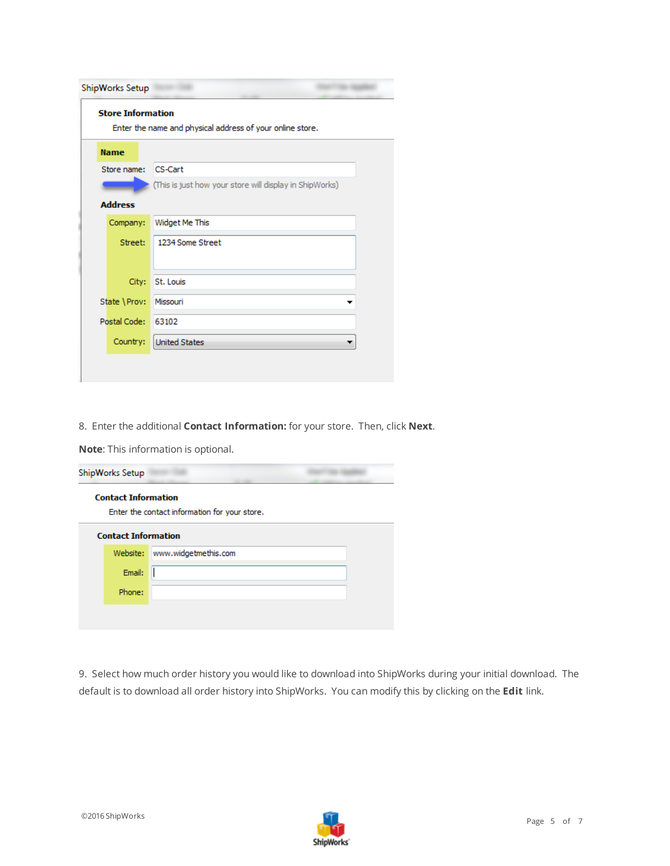| ShipWorks Setup<br><b>Store Information</b><br>Enter the name and physical address of your online store. |                |                                                         |  |
|----------------------------------------------------------------------------------------------------------|----------------|---------------------------------------------------------|--|
|                                                                                                          | <b>Name</b>    |                                                         |  |
|                                                                                                          | Store name:    | <b>CS-Cart</b>                                          |  |
|                                                                                                          |                | (This is just how your store will display in ShipWorks) |  |
|                                                                                                          | <b>Address</b> |                                                         |  |
|                                                                                                          | Company:       | Widget Me This                                          |  |
|                                                                                                          | Street:        | 1234 Some Street                                        |  |
|                                                                                                          |                |                                                         |  |
|                                                                                                          | City:          | St. Louis                                               |  |
|                                                                                                          | State \Prov:   | Missouri                                                |  |
|                                                                                                          | Postal Code:   | 63102                                                   |  |
|                                                                                                          | Country:       | <b>United States</b>                                    |  |

8. Enter the additional **Contact Information:** for your store. Then, click **Next**.

**Note**: This information is optional.

| ShipWorks Setup            |                                               |  |
|----------------------------|-----------------------------------------------|--|
| <b>Contact Information</b> | Enter the contact information for your store. |  |
| <b>Contact Information</b> |                                               |  |
|                            | Website: www.widgetmethis.com                 |  |
| Email:                     |                                               |  |
| Phone:                     |                                               |  |
|                            |                                               |  |
|                            |                                               |  |

9. Select how much order history you would like to download into ShipWorks during your initial download. The default is to download all order history into ShipWorks. You can modify this by clicking on the **Edit** link.

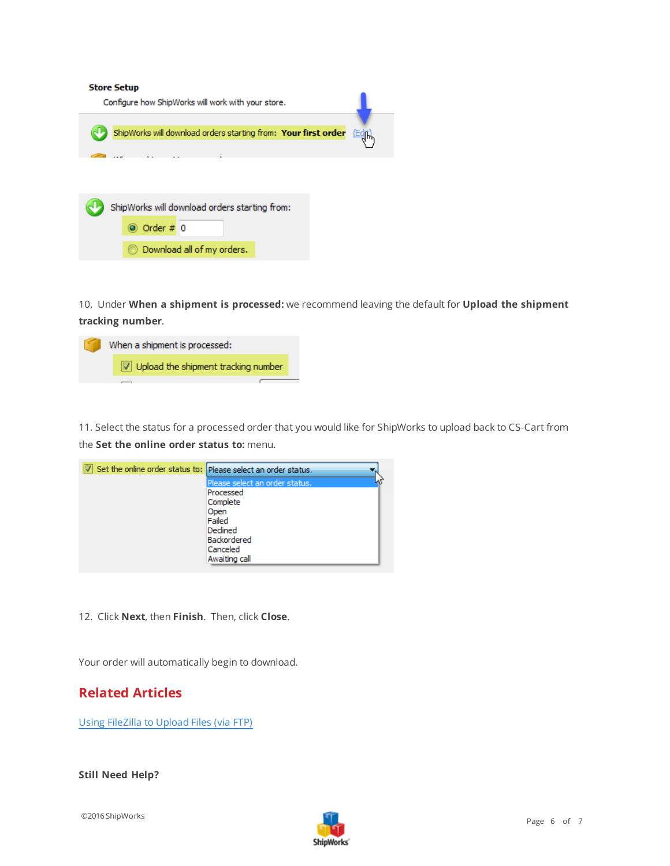#### **Store Setup**



10. Under **When a shipment is processed:** we recommend leaving the default for **Upload the shipment tracking number**.



11. Select the status for a processed order that you would like for ShipWorks to upload back to CS-Cart from the **Set the online order status to:** menu.



12. Click **Next**, then **Finish**. Then, click **Close**.

<span id="page-5-0"></span>Your order will automatically begin to download.

### **Related Articles**

Using FileZilla to Upload Files (via FTP)

<span id="page-5-1"></span>**Still Need Help?**